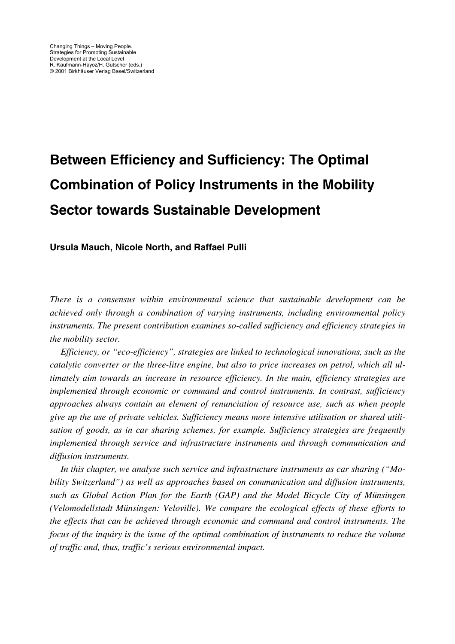# **Between Efficiency and Sufficiency: The Optimal Combination of Policy Instruments in the Mobility Sector towards Sustainable Development**

**Ursula Mauch, Nicole North, and Raffael Pulli**

*There is a consensus within environmental science that sustainable development can be achieved only through a combination of varying instruments, including environmental policy instruments. The present contribution examines so-called sufficiency and efficiency strategies in the mobility sector.*

*Efficiency, or "eco-efficiency", strategies are linked to technological innovations, such as the catalytic converter or the three-litre engine, but also to price increases on petrol, which all ultimately aim towards an increase in resource efficiency. In the main, efficiency strategies are implemented through economic or command and control instruments. In contrast, sufficiency approaches always contain an element of renunciation of resource use, such as when people give up the use of private vehicles. Sufficiency means more intensive utilisation or shared utilisation of goods, as in car sharing schemes, for example. Sufficiency strategies are frequently implemented through service and infrastructure instruments and through communication and diffusion instruments.*

*In this chapter, we analyse such service and infrastructure instruments as car sharing ("Mobility Switzerland") as well as approaches based on communication and diffusion instruments, such as Global Action Plan for the Earth (GAP) and the Model Bicycle City of Münsingen (Velomodellstadt Münsingen: Veloville). We compare the ecological effects of these efforts to the effects that can be achieved through economic and command and control instruments. The focus of the inquiry is the issue of the optimal combination of instruments to reduce the volume of traffic and, thus, traffic's serious environmental impact.*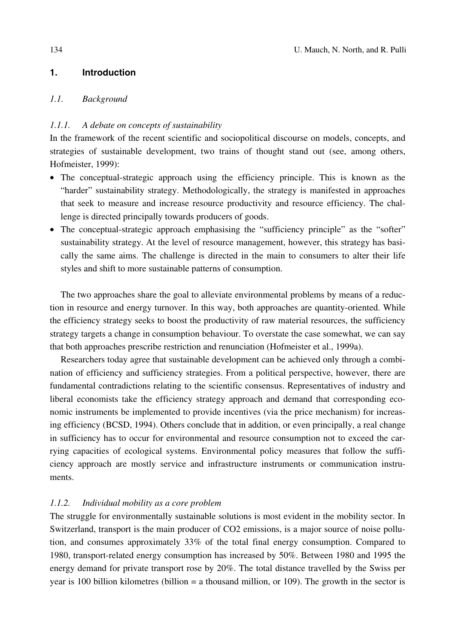# **1. Introduction**

# *1.1. Background*

# *1.1.1. A debate on concepts of sustainability*

In the framework of the recent scientific and sociopolitical discourse on models, concepts, and strategies of sustainable development, two trains of thought stand out (see, among others, Hofmeister, 1999):

- The conceptual-strategic approach using the efficiency principle. This is known as the "harder" sustainability strategy. Methodologically, the strategy is manifested in approaches that seek to measure and increase resource productivity and resource efficiency. The challenge is directed principally towards producers of goods.
- The conceptual-strategic approach emphasising the "sufficiency principle" as the "softer" sustainability strategy. At the level of resource management, however, this strategy has basically the same aims. The challenge is directed in the main to consumers to alter their life styles and shift to more sustainable patterns of consumption.

The two approaches share the goal to alleviate environmental problems by means of a reduction in resource and energy turnover. In this way, both approaches are quantity-oriented. While the efficiency strategy seeks to boost the productivity of raw material resources, the sufficiency strategy targets a change in consumption behaviour. To overstate the case somewhat, we can say that both approaches prescribe restriction and renunciation (Hofmeister et al., 1999a).

Researchers today agree that sustainable development can be achieved only through a combination of efficiency and sufficiency strategies. From a political perspective, however, there are fundamental contradictions relating to the scientific consensus. Representatives of industry and liberal economists take the efficiency strategy approach and demand that corresponding economic instruments be implemented to provide incentives (via the price mechanism) for increasing efficiency (BCSD, 1994). Others conclude that in addition, or even principally, a real change in sufficiency has to occur for environmental and resource consumption not to exceed the carrying capacities of ecological systems. Environmental policy measures that follow the sufficiency approach are mostly service and infrastructure instruments or communication instruments.

# *1.1.2. Individual mobility as a core problem*

The struggle for environmentally sustainable solutions is most evident in the mobility sector. In Switzerland, transport is the main producer of CO2 emissions, is a major source of noise pollution, and consumes approximately 33% of the total final energy consumption. Compared to 1980, transport-related energy consumption has increased by 50%. Between 1980 and 1995 the energy demand for private transport rose by 20%. The total distance travelled by the Swiss per year is 100 billion kilometres (billion = a thousand million, or 109). The growth in the sector is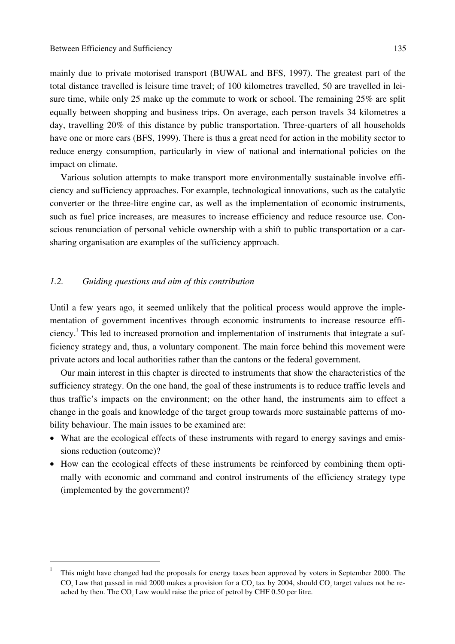mainly due to private motorised transport (BUWAL and BFS, 1997). The greatest part of the total distance travelled is leisure time travel; of 100 kilometres travelled, 50 are travelled in leisure time, while only 25 make up the commute to work or school. The remaining 25% are split equally between shopping and business trips. On average, each person travels 34 kilometres a day, travelling 20% of this distance by public transportation. Three-quarters of all households have one or more cars (BFS, 1999). There is thus a great need for action in the mobility sector to reduce energy consumption, particularly in view of national and international policies on the impact on climate.

Various solution attempts to make transport more environmentally sustainable involve efficiency and sufficiency approaches. For example, technological innovations, such as the catalytic converter or the three-litre engine car, as well as the implementation of economic instruments, such as fuel price increases, are measures to increase efficiency and reduce resource use. Conscious renunciation of personal vehicle ownership with a shift to public transportation or a carsharing organisation are examples of the sufficiency approach.

#### *1.2. Guiding questions and aim of this contribution*

Until a few years ago, it seemed unlikely that the political process would approve the implementation of government incentives through economic instruments to increase resource efficiency.<sup>1</sup> This led to increased promotion and implementation of instruments that integrate a sufficiency strategy and, thus, a voluntary component. The main force behind this movement were private actors and local authorities rather than the cantons or the federal government.

Our main interest in this chapter is directed to instruments that show the characteristics of the sufficiency strategy. On the one hand, the goal of these instruments is to reduce traffic levels and thus traffic's impacts on the environment; on the other hand, the instruments aim to effect a change in the goals and knowledge of the target group towards more sustainable patterns of mobility behaviour. The main issues to be examined are:

- What are the ecological effects of these instruments with regard to energy savings and emissions reduction (outcome)?
- How can the ecological effects of these instruments be reinforced by combining them optimally with economic and command and control instruments of the efficiency strategy type (implemented by the government)?

<sup>|&</sup>lt;br>|<br>| This might have changed had the proposals for energy taxes been approved by voters in September 2000. The CO<sub>2</sub> Law that passed in mid 2000 makes a provision for a CO<sub>2</sub> tax by 2004, should CO<sub>2</sub> target values not be reached by then. The  $CO<sub>2</sub>$  Law would raise the price of petrol by CHF 0.50 per litre.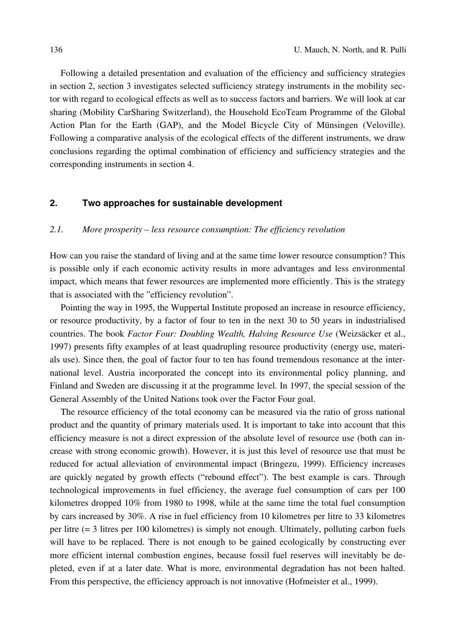Following a detailed presentation and evaluation of the efficiency and sufficiency strategies in section 2, section 3 investigates selected sufficiency strategy instruments in the mobility sector with regard to ecological effects as well as to success factors and barriers. We will look at car sharing (Mobility CarSharing Switzerland), the Household EcoTeam Programme of the Global Action Plan for the Earth (GAP), and the Model Bicycle City of Münsingen (Veloville). Following a comparative analysis of the ecological effects of the different instruments, we draw conclusions regarding the optimal combination of efficiency and sufficiency strategies and the corresponding instruments in section 4.

#### **2. Two approaches for sustainable development**

#### *2.1. More prosperity – less resource consumption: The efficiency revolution*

How can you raise the standard of living and at the same time lower resource consumption? This is possible only if each economic activity results in more advantages and less environmental impact, which means that fewer resources are implemented more efficiently. This is the strategy that is associated with the "efficiency revolution".

Pointing the way in 1995, the Wuppertal Institute proposed an increase in resource efficiency, or resource productivity, by a factor of four to ten in the next 30 to 50 years in industrialised countries. The book *Factor Four: Doubling Wealth, Halving Resource Use* (Weizsäcker et al., 1997) presents fifty examples of at least quadrupling resource productivity (energy use, materials use). Since then, the goal of factor four to ten has found tremendous resonance at the international level. Austria incorporated the concept into its environmental policy planning, and Finland and Sweden are discussing it at the programme level. In 1997, the special session of the General Assembly of the United Nations took over the Factor Four goal.

The resource efficiency of the total economy can be measured via the ratio of gross national product and the quantity of primary materials used. It is important to take into account that this efficiency measure is not a direct expression of the absolute level of resource use (both can increase with strong economic growth). However, it is just this level of resource use that must be reduced for actual alleviation of environmental impact (Bringezu, 1999). Efficiency increases are quickly negated by growth effects ("rebound effect"). The best example is cars. Through technological improvements in fuel efficiency, the average fuel consumption of cars per 100 kilometres dropped 10% from 1980 to 1998, while at the same time the total fuel consumption by cars increased by 30%. A rise in fuel efficiency from 10 kilometres per litre to 33 kilometres per litre (= 3 litres per 100 kilometres) is simply not enough. Ultimately, polluting carbon fuels will have to be replaced. There is not enough to be gained ecologically by constructing ever more efficient internal combustion engines, because fossil fuel reserves will inevitably be depleted, even if at a later date. What is more, environmental degradation has not been halted. From this perspective, the efficiency approach is not innovative (Hofmeister et al., 1999).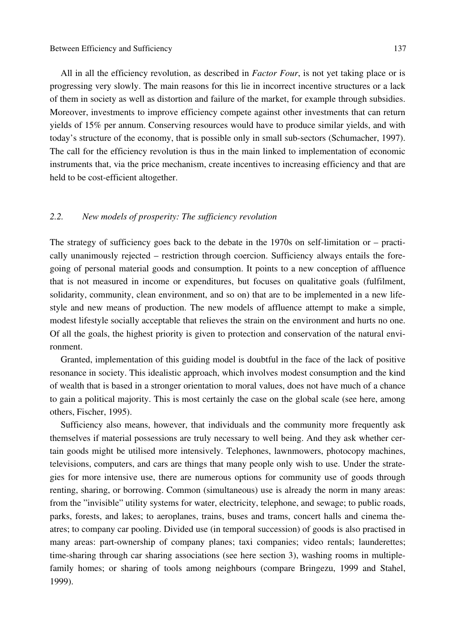All in all the efficiency revolution, as described in *Factor Four*, is not yet taking place or is progressing very slowly. The main reasons for this lie in incorrect incentive structures or a lack of them in society as well as distortion and failure of the market, for example through subsidies. Moreover, investments to improve efficiency compete against other investments that can return yields of 15% per annum. Conserving resources would have to produce similar yields, and with today's structure of the economy, that is possible only in small sub-sectors (Schumacher, 1997). The call for the efficiency revolution is thus in the main linked to implementation of economic instruments that, via the price mechanism, create incentives to increasing efficiency and that are held to be cost-efficient altogether.

# *2.2. New models of prosperity: The sufficiency revolution*

The strategy of sufficiency goes back to the debate in the 1970s on self-limitation or – practically unanimously rejected – restriction through coercion. Sufficiency always entails the foregoing of personal material goods and consumption. It points to a new conception of affluence that is not measured in income or expenditures, but focuses on qualitative goals (fulfilment, solidarity, community, clean environment, and so on) that are to be implemented in a new lifestyle and new means of production. The new models of affluence attempt to make a simple, modest lifestyle socially acceptable that relieves the strain on the environment and hurts no one. Of all the goals, the highest priority is given to protection and conservation of the natural environment.

Granted, implementation of this guiding model is doubtful in the face of the lack of positive resonance in society. This idealistic approach, which involves modest consumption and the kind of wealth that is based in a stronger orientation to moral values, does not have much of a chance to gain a political majority. This is most certainly the case on the global scale (see here, among others, Fischer, 1995).

Sufficiency also means, however, that individuals and the community more frequently ask themselves if material possessions are truly necessary to well being. And they ask whether certain goods might be utilised more intensively. Telephones, lawnmowers, photocopy machines, televisions, computers, and cars are things that many people only wish to use. Under the strategies for more intensive use, there are numerous options for community use of goods through renting, sharing, or borrowing. Common (simultaneous) use is already the norm in many areas: from the "invisible" utility systems for water, electricity, telephone, and sewage; to public roads, parks, forests, and lakes; to aeroplanes, trains, buses and trams, concert halls and cinema theatres; to company car pooling. Divided use (in temporal succession) of goods is also practised in many areas: part-ownership of company planes; taxi companies; video rentals; launderettes; time-sharing through car sharing associations (see here section 3), washing rooms in multiplefamily homes; or sharing of tools among neighbours (compare Bringezu, 1999 and Stahel, 1999).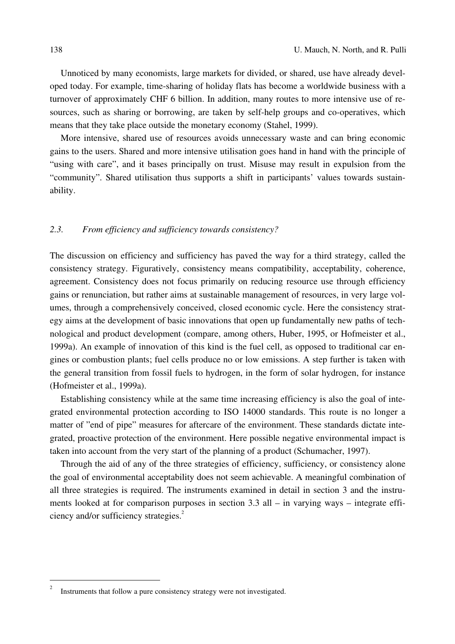Unnoticed by many economists, large markets for divided, or shared, use have already developed today. For example, time-sharing of holiday flats has become a worldwide business with a turnover of approximately CHF 6 billion. In addition, many routes to more intensive use of resources, such as sharing or borrowing, are taken by self-help groups and co-operatives, which means that they take place outside the monetary economy (Stahel, 1999).

More intensive, shared use of resources avoids unnecessary waste and can bring economic gains to the users. Shared and more intensive utilisation goes hand in hand with the principle of "using with care", and it bases principally on trust. Misuse may result in expulsion from the "community". Shared utilisation thus supports a shift in participants' values towards sustainability.

#### *2.3. From efficiency and sufficiency towards consistency?*

The discussion on efficiency and sufficiency has paved the way for a third strategy, called the consistency strategy. Figuratively, consistency means compatibility, acceptability, coherence, agreement. Consistency does not focus primarily on reducing resource use through efficiency gains or renunciation, but rather aims at sustainable management of resources, in very large volumes, through a comprehensively conceived, closed economic cycle. Here the consistency strategy aims at the development of basic innovations that open up fundamentally new paths of technological and product development (compare, among others, Huber, 1995, or Hofmeister et al., 1999a). An example of innovation of this kind is the fuel cell, as opposed to traditional car engines or combustion plants; fuel cells produce no or low emissions. A step further is taken with the general transition from fossil fuels to hydrogen, in the form of solar hydrogen, for instance (Hofmeister et al., 1999a).

Establishing consistency while at the same time increasing efficiency is also the goal of integrated environmental protection according to ISO 14000 standards. This route is no longer a matter of "end of pipe" measures for aftercare of the environment. These standards dictate integrated, proactive protection of the environment. Here possible negative environmental impact is taken into account from the very start of the planning of a product (Schumacher, 1997).

Through the aid of any of the three strategies of efficiency, sufficiency, or consistency alone the goal of environmental acceptability does not seem achievable. A meaningful combination of all three strategies is required. The instruments examined in detail in section 3 and the instruments looked at for comparison purposes in section 3.3 all – in varying ways – integrate efficiency and/or sufficiency strategies.<sup>2</sup>

 $\frac{1}{2}$  $\frac{1}{2}$  Instruments that follow a pure consistency strategy were not investigated.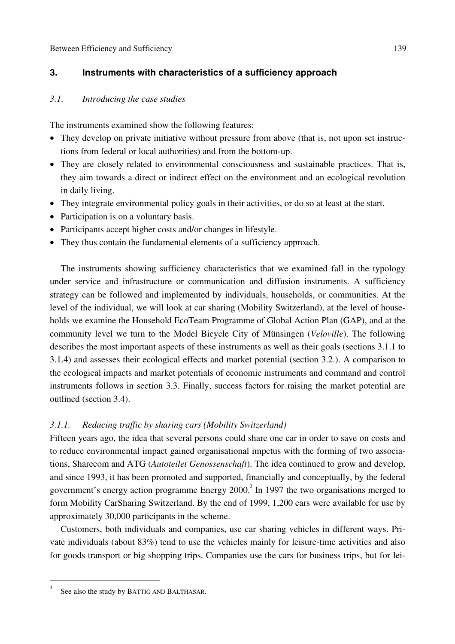Between Efficiency and Sufficiency 139

# **3. Instruments with characteristics of a sufficiency approach**

# *3.1. Introducing the case studies*

The instruments examined show the following features:

- They develop on private initiative without pressure from above (that is, not upon set instructions from federal or local authorities) and from the bottom-up.
- They are closely related to environmental consciousness and sustainable practices. That is, they aim towards a direct or indirect effect on the environment and an ecological revolution in daily living.
- They integrate environmental policy goals in their activities, or do so at least at the start.
- Participation is on a voluntary basis.
- Participants accept higher costs and/or changes in lifestyle.
- They thus contain the fundamental elements of a sufficiency approach.

The instruments showing sufficiency characteristics that we examined fall in the typology under service and infrastructure or communication and diffusion instruments. A sufficiency strategy can be followed and implemented by individuals, households, or communities. At the level of the individual, we will look at car sharing (Mobility Switzerland), at the level of households we examine the Household EcoTeam Programme of Global Action Plan (GAP), and at the community level we turn to the Model Bicycle City of Münsingen (*Veloville*). The following describes the most important aspects of these instruments as well as their goals (sections 3.1.1 to 3.1.4) and assesses their ecological effects and market potential (section 3.2.). A comparison to the ecological impacts and market potentials of economic instruments and command and control instruments follows in section 3.3. Finally, success factors for raising the market potential are outlined (section 3.4).

# *3.1.1. Reducing traffic by sharing cars (Mobility Switzerland)*

Fifteen years ago, the idea that several persons could share one car in order to save on costs and to reduce environmental impact gained organisational impetus with the forming of two associations, Sharecom and ATG (*Autoteilet Genossenschaft*). The idea continued to grow and develop, and since 1993, it has been promoted and supported, financially and conceptually, by the federal government's energy action programme Energy 2000.<sup>3</sup> In 1997 the two organisations merged to form Mobility CarSharing Switzerland. By the end of 1999, 1,200 cars were available for use by approximately 30,000 participants in the scheme.

Customers, both individuals and companies, use car sharing vehicles in different ways. Private individuals (about 83%) tend to use the vehicles mainly for leisure-time activities and also for goods transport or big shopping trips. Companies use the cars for business trips, but for lei-

 <sup>3</sup>  $3\degree$  See also the study by BÄTTIG AND BALTHASAR.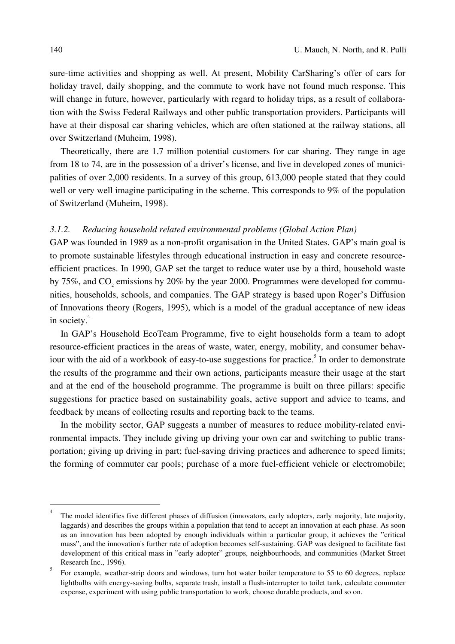sure-time activities and shopping as well. At present, Mobility CarSharing's offer of cars for holiday travel, daily shopping, and the commute to work have not found much response. This will change in future, however, particularly with regard to holiday trips, as a result of collaboration with the Swiss Federal Railways and other public transportation providers. Participants will have at their disposal car sharing vehicles, which are often stationed at the railway stations, all over Switzerland (Muheim, 1998).

Theoretically, there are 1.7 million potential customers for car sharing. They range in age from 18 to 74, are in the possession of a driver's license, and live in developed zones of municipalities of over 2,000 residents. In a survey of this group, 613,000 people stated that they could well or very well imagine participating in the scheme. This corresponds to 9% of the population of Switzerland (Muheim, 1998).

#### *3.1.2. Reducing household related environmental problems (Global Action Plan)*

GAP was founded in 1989 as a non-profit organisation in the United States. GAP's main goal is to promote sustainable lifestyles through educational instruction in easy and concrete resourceefficient practices. In 1990, GAP set the target to reduce water use by a third, household waste by 75%, and CO<sub>2</sub> emissions by 20% by the year 2000. Programmes were developed for communities, households, schools, and companies. The GAP strategy is based upon Roger's Diffusion of Innovations theory (Rogers, 1995), which is a model of the gradual acceptance of new ideas in society.<sup>4</sup>

In GAP's Household EcoTeam Programme, five to eight households form a team to adopt resource-efficient practices in the areas of waste, water, energy, mobility, and consumer behaviour with the aid of a workbook of easy-to-use suggestions for practice.<sup>5</sup> In order to demonstrate the results of the programme and their own actions, participants measure their usage at the start and at the end of the household programme. The programme is built on three pillars: specific suggestions for practice based on sustainability goals, active support and advice to teams, and feedback by means of collecting results and reporting back to the teams.

In the mobility sector, GAP suggests a number of measures to reduce mobility-related environmental impacts. They include giving up driving your own car and switching to public transportation; giving up driving in part; fuel-saving driving practices and adherence to speed limits; the forming of commuter car pools; purchase of a more fuel-efficient vehicle or electromobile;

 $\frac{1}{4}$  The model identifies five different phases of diffusion (innovators, early adopters, early majority, late majority, laggards) and describes the groups within a population that tend to accept an innovation at each phase. As soon as an innovation has been adopted by enough individuals within a particular group, it achieves the "critical mass", and the innovation's further rate of adoption becomes self-sustaining. GAP was designed to facilitate fast development of this critical mass in "early adopter" groups, neighbourhoods, and communities (Market Street Research Inc., 1996).

<sup>5</sup> For example, weather-strip doors and windows, turn hot water boiler temperature to 55 to 60 degrees, replace lightbulbs with energy-saving bulbs, separate trash, install a flush-interrupter to toilet tank, calculate commuter expense, experiment with using public transportation to work, choose durable products, and so on.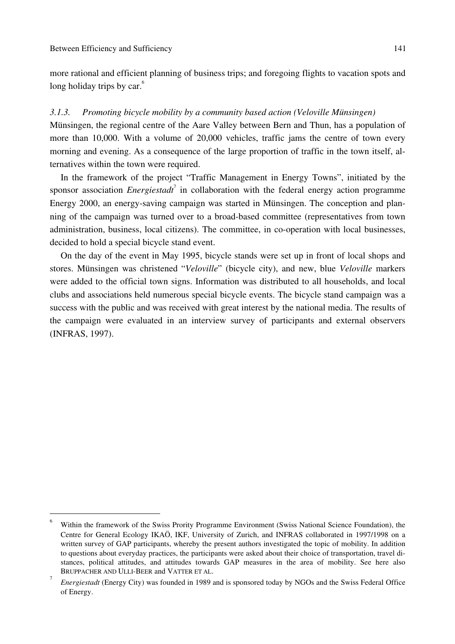more rational and efficient planning of business trips; and foregoing flights to vacation spots and long holiday trips by car. $<sup>6</sup>$ </sup>

#### *3.1.3. Promoting bicycle mobility by a community based action (Veloville Münsingen)*

Münsingen, the regional centre of the Aare Valley between Bern and Thun, has a population of more than 10,000. With a volume of 20,000 vehicles, traffic jams the centre of town every morning and evening. As a consequence of the large proportion of traffic in the town itself, alternatives within the town were required.

In the framework of the project "Traffic Management in Energy Towns", initiated by the sponsor association *Energiestadt*<sup>7</sup> in collaboration with the federal energy action programme Energy 2000, an energy-saving campaign was started in Münsingen. The conception and planning of the campaign was turned over to a broad-based committee (representatives from town administration, business, local citizens). The committee, in co-operation with local businesses, decided to hold a special bicycle stand event.

On the day of the event in May 1995, bicycle stands were set up in front of local shops and stores. Münsingen was christened "*Veloville*" (bicycle city), and new, blue *Veloville* markers were added to the official town signs. Information was distributed to all households, and local clubs and associations held numerous special bicycle events. The bicycle stand campaign was a success with the public and was received with great interest by the national media. The results of the campaign were evaluated in an interview survey of participants and external observers (INFRAS, 1997).

 <sup>6</sup> <sup>6</sup> Within the framework of the Swiss Prority Programme Environment (Swiss National Science Foundation), the Centre for General Ecology IKAÖ, IKF, University of Zurich, and INFRAS collaborated in 1997/1998 on a written survey of GAP participants, whereby the present authors investigated the topic of mobility. In addition to questions about everyday practices, the participants were asked about their choice of transportation, travel distances, political attitudes, and attitudes towards GAP measures in the area of mobility. See here also BRUPPACHER AND ULLI-BEER and VATTER ET AL.

<sup>7</sup> *Energiestadt* (Energy City) was founded in 1989 and is sponsored today by NGOs and the Swiss Federal Office of Energy.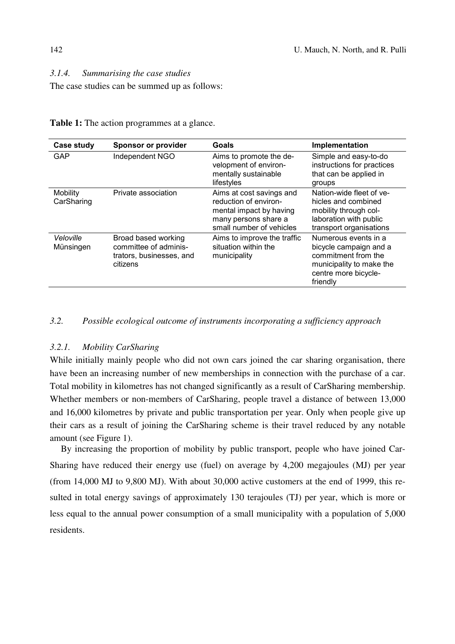# *3.1.4. Summarising the case studies*

The case studies can be summed up as follows:

**Table 1:** The action programmes at a glance.

| Case study             | <b>Sponsor or provider</b>                                                           | Goals                                                                                                                            | <b>Implementation</b>                                                                                                                 |
|------------------------|--------------------------------------------------------------------------------------|----------------------------------------------------------------------------------------------------------------------------------|---------------------------------------------------------------------------------------------------------------------------------------|
| GAP                    | Independent NGO                                                                      | Aims to promote the de-<br>velopment of environ-<br>mentally sustainable<br>lifestyles                                           | Simple and easy-to-do<br>instructions for practices<br>that can be applied in<br>groups                                               |
| Mobility<br>CarSharing | Private association                                                                  | Aims at cost savings and<br>reduction of environ-<br>mental impact by having<br>many persons share a<br>small number of vehicles | Nation-wide fleet of ye-<br>hicles and combined<br>mobility through col-<br>laboration with public<br>transport organisations         |
| Veloville<br>Münsingen | Broad based working<br>committee of adminis-<br>trators, businesses, and<br>citizens | Aims to improve the traffic<br>situation within the<br>municipality                                                              | Numerous events in a<br>bicycle campaign and a<br>commitment from the<br>municipality to make the<br>centre more bicycle-<br>friendly |

*3.2. Possible ecological outcome of instruments incorporating a sufficiency approach*

# *3.2.1. Mobility CarSharing*

While initially mainly people who did not own cars joined the car sharing organisation, there have been an increasing number of new memberships in connection with the purchase of a car. Total mobility in kilometres has not changed significantly as a result of CarSharing membership. Whether members or non-members of CarSharing, people travel a distance of between 13,000 and 16,000 kilometres by private and public transportation per year. Only when people give up their cars as a result of joining the CarSharing scheme is their travel reduced by any notable amount (see Figure 1).

By increasing the proportion of mobility by public transport, people who have joined Car-Sharing have reduced their energy use (fuel) on average by 4,200 megajoules (MJ) per year (from 14,000 MJ to 9,800 MJ). With about 30,000 active customers at the end of 1999, this resulted in total energy savings of approximately 130 terajoules (TJ) per year, which is more or less equal to the annual power consumption of a small municipality with a population of 5,000 residents.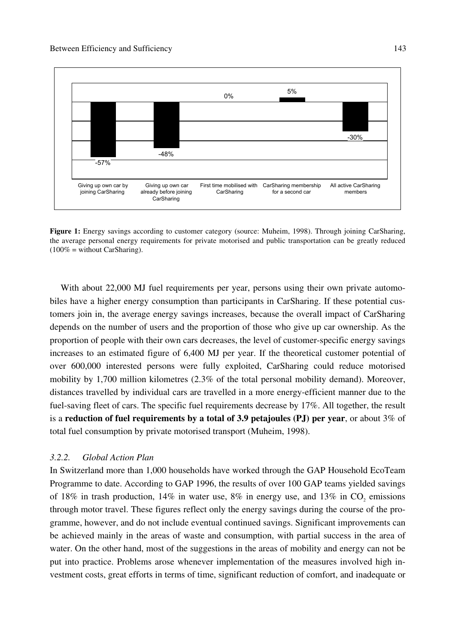

**Figure 1:** Energy savings according to customer category (source: Muheim, 1998). Through joining CarSharing, the average personal energy requirements for private motorised and public transportation can be greatly reduced  $(100\% = \text{without CarSharing}).$ 

With about 22,000 MJ fuel requirements per year, persons using their own private automobiles have a higher energy consumption than participants in CarSharing. If these potential customers join in, the average energy savings increases, because the overall impact of CarSharing depends on the number of users and the proportion of those who give up car ownership. As the proportion of people with their own cars decreases, the level of customer-specific energy savings increases to an estimated figure of 6,400 MJ per year. If the theoretical customer potential of over 600,000 interested persons were fully exploited, CarSharing could reduce motorised mobility by 1,700 million kilometres (2.3% of the total personal mobility demand). Moreover, distances travelled by individual cars are travelled in a more energy-efficient manner due to the fuel-saving fleet of cars. The specific fuel requirements decrease by 17%. All together, the result is a **reduction of fuel requirements by a total of 3.9 petajoules (PJ) per year**, or about 3% of total fuel consumption by private motorised transport (Muheim, 1998).

# *3.2.2. Global Action Plan*

In Switzerland more than 1,000 households have worked through the GAP Household EcoTeam Programme to date. According to GAP 1996, the results of over 100 GAP teams yielded savings of 18% in trash production, 14% in water use, 8% in energy use, and 13% in  $CO_2$  emissions through motor travel. These figures reflect only the energy savings during the course of the programme, however, and do not include eventual continued savings. Significant improvements can be achieved mainly in the areas of waste and consumption, with partial success in the area of water. On the other hand, most of the suggestions in the areas of mobility and energy can not be put into practice. Problems arose whenever implementation of the measures involved high investment costs, great efforts in terms of time, significant reduction of comfort, and inadequate or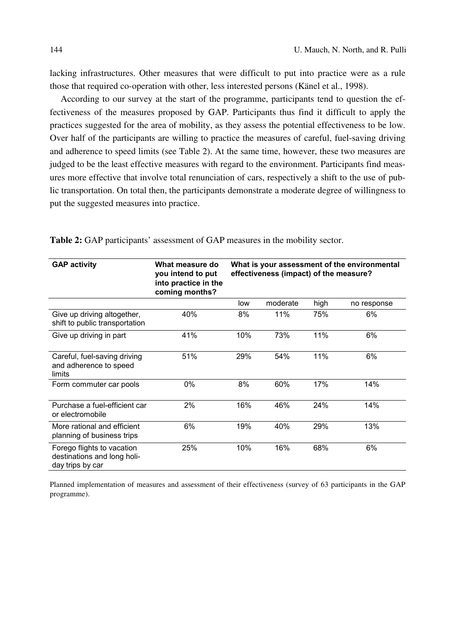lacking infrastructures. Other measures that were difficult to put into practice were as a rule those that required co-operation with other, less interested persons (Känel et al., 1998).

According to our survey at the start of the programme, participants tend to question the effectiveness of the measures proposed by GAP. Participants thus find it difficult to apply the practices suggested for the area of mobility, as they assess the potential effectiveness to be low. Over half of the participants are willing to practice the measures of careful, fuel-saving driving and adherence to speed limits (see Table 2). At the same time, however, these two measures are judged to be the least effective measures with regard to the environment. Participants find measures more effective that involve total renunciation of cars, respectively a shift to the use of public transportation. On total then, the participants demonstrate a moderate degree of willingness to put the suggested measures into practice.

| <b>GAP activity</b>                                                           | What measure do<br>you intend to put<br>into practice in the<br>coming months? | What is your assessment of the environmental<br>effectiveness (impact) of the measure? |          |      |             |
|-------------------------------------------------------------------------------|--------------------------------------------------------------------------------|----------------------------------------------------------------------------------------|----------|------|-------------|
|                                                                               |                                                                                | low                                                                                    | moderate | high | no response |
| Give up driving altogether,<br>shift to public transportation                 | 40%                                                                            | 8%                                                                                     | 11%      | 75%  | 6%          |
| Give up driving in part                                                       | 41%                                                                            | 10%                                                                                    | 73%      | 11%  | 6%          |
| Careful, fuel-saving driving<br>and adherence to speed<br>limits              | 51%                                                                            | 29%                                                                                    | 54%      | 11%  | 6%          |
| Form commuter car pools                                                       | 0%                                                                             | 8%                                                                                     | 60%      | 17%  | 14%         |
| Purchase a fuel-efficient car<br>or electromobile                             | 2%                                                                             | 16%                                                                                    | 46%      | 24%  | 14%         |
| More rational and efficient<br>planning of business trips                     | 6%                                                                             | 19%                                                                                    | 40%      | 29%  | 13%         |
| Forego flights to vacation<br>destinations and long holi-<br>day trips by car | 25%                                                                            | 10%                                                                                    | 16%      | 68%  | 6%          |

**Table 2:** GAP participants' assessment of GAP measures in the mobility sector.

Planned implementation of measures and assessment of their effectiveness (survey of 63 participants in the GAP programme).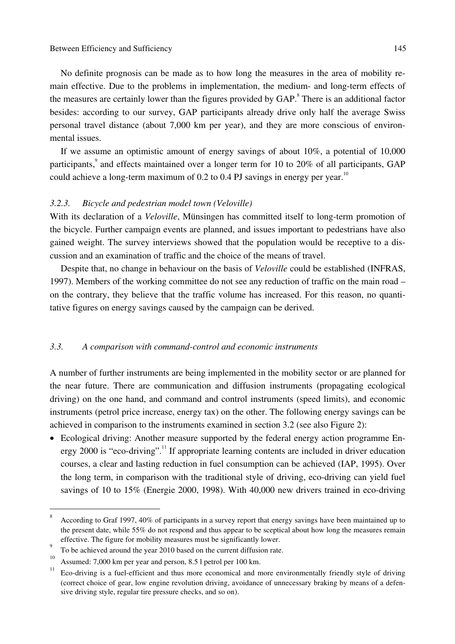No definite prognosis can be made as to how long the measures in the area of mobility remain effective. Due to the problems in implementation, the medium- and long-term effects of the measures are certainly lower than the figures provided by GAP.<sup>8</sup> There is an additional factor besides: according to our survey, GAP participants already drive only half the average Swiss personal travel distance (about 7,000 km per year), and they are more conscious of environmental issues.

If we assume an optimistic amount of energy savings of about 10%, a potential of 10,000 participants, <sup>9</sup> and effects maintained over a longer term for 10 to 20% of all participants, GAP could achieve a long-term maximum of 0.2 to 0.4 PJ savings in energy per year.<sup>10</sup>

#### *3.2.3. Bicycle and pedestrian model town (Veloville)*

With its declaration of a *Veloville*, Münsingen has committed itself to long-term promotion of the bicycle. Further campaign events are planned, and issues important to pedestrians have also gained weight. The survey interviews showed that the population would be receptive to a discussion and an examination of traffic and the choice of the means of travel.

Despite that, no change in behaviour on the basis of *Veloville* could be established (INFRAS, 1997). Members of the working committee do not see any reduction of traffic on the main road – on the contrary, they believe that the traffic volume has increased. For this reason, no quantitative figures on energy savings caused by the campaign can be derived.

# *3.3. A comparison with command-control and economic instruments*

A number of further instruments are being implemented in the mobility sector or are planned for the near future. There are communication and diffusion instruments (propagating ecological driving) on the one hand, and command and control instruments (speed limits), and economic instruments (petrol price increase, energy tax) on the other. The following energy savings can be achieved in comparison to the instruments examined in section 3.2 (see also Figure 2):

• Ecological driving: Another measure supported by the federal energy action programme Energy 2000 is "eco-driving".<sup>11</sup> If appropriate learning contents are included in driver education courses, a clear and lasting reduction in fuel consumption can be achieved (IAP, 1995). Over the long term, in comparison with the traditional style of driving, eco-driving can yield fuel savings of 10 to 15% (Energie 2000, 1998). With 40,000 new drivers trained in eco-driving

 <sup>8</sup> According to Graf 1997, 40% of participants in a survey report that energy savings have been maintained up to the present date, while 55% do not respond and thus appear to be sceptical about how long the measures remain effective. The figure for mobility measures must be significantly lower. 9

 $\frac{9}{10}$  To be achieved around the year 2010 based on the current diffusion rate.

<sup>&</sup>lt;sup>10</sup> Assumed: 7,000 km per year and person, 8.5 l petrol per 100 km.

<sup>11</sup> Eco-driving is a fuel-efficient and thus more economical and more environmentally friendly style of driving (correct choice of gear, low engine revolution driving, avoidance of unnecessary braking by means of a defensive driving style, regular tire pressure checks, and so on).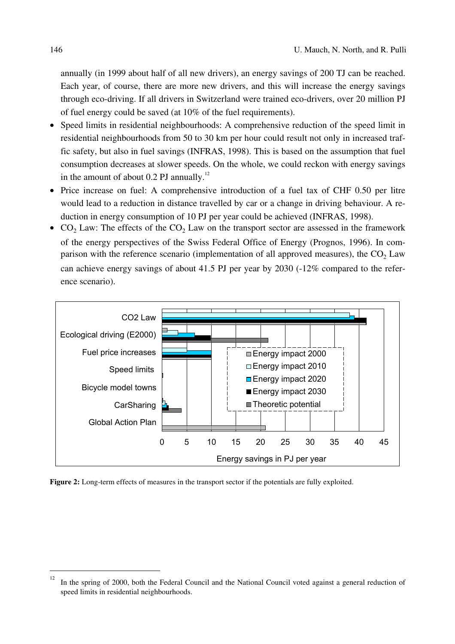annually (in 1999 about half of all new drivers), an energy savings of 200 TJ can be reached. Each year, of course, there are more new drivers, and this will increase the energy savings through eco-driving. If all drivers in Switzerland were trained eco-drivers, over 20 million PJ of fuel energy could be saved (at 10% of the fuel requirements).

- Speed limits in residential neighbourhoods: A comprehensive reduction of the speed limit in residential neighbourhoods from 50 to 30 km per hour could result not only in increased traffic safety, but also in fuel savings (INFRAS, 1998). This is based on the assumption that fuel consumption decreases at slower speeds. On the whole, we could reckon with energy savings in the amount of about  $0.2$  PJ annually.<sup>12</sup>
- Price increase on fuel: A comprehensive introduction of a fuel tax of CHF 0.50 per litre would lead to a reduction in distance travelled by car or a change in driving behaviour. A reduction in energy consumption of 10 PJ per year could be achieved (INFRAS, 1998).
- $CO<sub>2</sub>$  Law: The effects of the  $CO<sub>2</sub>$  Law on the transport sector are assessed in the framework of the energy perspectives of the Swiss Federal Office of Energy (Prognos, 1996). In comparison with the reference scenario (implementation of all approved measures), the  $CO<sub>2</sub>$  Law can achieve energy savings of about 41.5 PJ per year by 2030 (-12% compared to the reference scenario).



**Figure 2:** Long-term effects of measures in the transport sector if the potentials are fully exploited.

<sup>&</sup>lt;sup>12</sup> In the spring of 2000, both the Federal Council and the National Council voted against a general reduction of speed limits in residential neighbourhoods.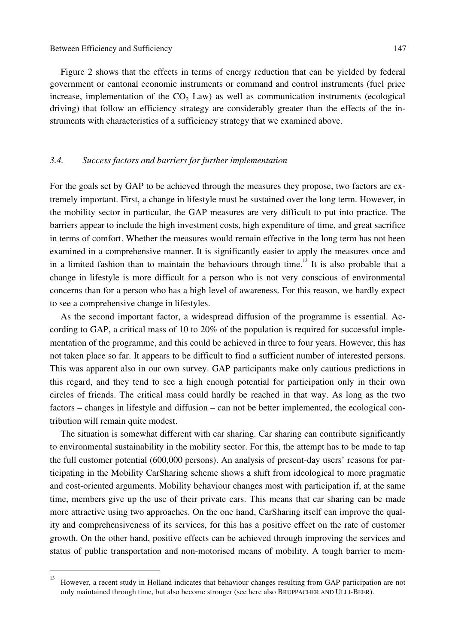Figure 2 shows that the effects in terms of energy reduction that can be yielded by federal government or cantonal economic instruments or command and control instruments (fuel price increase, implementation of the  $CO<sub>2</sub>$  Law) as well as communication instruments (ecological driving) that follow an efficiency strategy are considerably greater than the effects of the instruments with characteristics of a sufficiency strategy that we examined above.

#### *3.4. Success factors and barriers for further implementation*

For the goals set by GAP to be achieved through the measures they propose, two factors are extremely important. First, a change in lifestyle must be sustained over the long term. However, in the mobility sector in particular, the GAP measures are very difficult to put into practice. The barriers appear to include the high investment costs, high expenditure of time, and great sacrifice in terms of comfort. Whether the measures would remain effective in the long term has not been examined in a comprehensive manner. It is significantly easier to apply the measures once and in a limited fashion than to maintain the behaviours through time.<sup>13</sup> It is also probable that a change in lifestyle is more difficult for a person who is not very conscious of environmental concerns than for a person who has a high level of awareness. For this reason, we hardly expect to see a comprehensive change in lifestyles.

As the second important factor, a widespread diffusion of the programme is essential. According to GAP, a critical mass of 10 to 20% of the population is required for successful implementation of the programme, and this could be achieved in three to four years. However, this has not taken place so far. It appears to be difficult to find a sufficient number of interested persons. This was apparent also in our own survey. GAP participants make only cautious predictions in this regard, and they tend to see a high enough potential for participation only in their own circles of friends. The critical mass could hardly be reached in that way. As long as the two factors – changes in lifestyle and diffusion – can not be better implemented, the ecological contribution will remain quite modest.

The situation is somewhat different with car sharing. Car sharing can contribute significantly to environmental sustainability in the mobility sector. For this, the attempt has to be made to tap the full customer potential (600,000 persons). An analysis of present-day users' reasons for participating in the Mobility CarSharing scheme shows a shift from ideological to more pragmatic and cost-oriented arguments. Mobility behaviour changes most with participation if, at the same time, members give up the use of their private cars. This means that car sharing can be made more attractive using two approaches. On the one hand, CarSharing itself can improve the quality and comprehensiveness of its services, for this has a positive effect on the rate of customer growth. On the other hand, positive effects can be achieved through improving the services and status of public transportation and non-motorised means of mobility. A tough barrier to mem-

<sup>&</sup>lt;sup>13</sup> However, a recent study in Holland indicates that behaviour changes resulting from GAP participation are not only maintained through time, but also become stronger (see here also BRUPPACHER AND ULLI-BEER).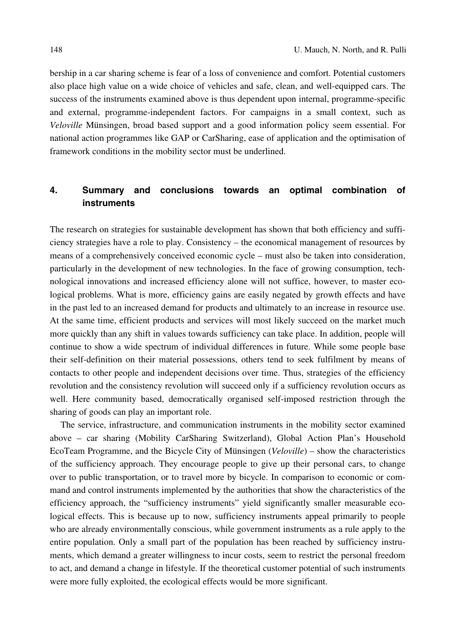bership in a car sharing scheme is fear of a loss of convenience and comfort. Potential customers also place high value on a wide choice of vehicles and safe, clean, and well-equipped cars. The success of the instruments examined above is thus dependent upon internal, programme-specific and external, programme-independent factors. For campaigns in a small context, such as *Veloville* Münsingen, broad based support and a good information policy seem essential. For national action programmes like GAP or CarSharing, ease of application and the optimisation of framework conditions in the mobility sector must be underlined.

# **4. Summary and conclusions towards an optimal combination of instruments**

The research on strategies for sustainable development has shown that both efficiency and sufficiency strategies have a role to play. Consistency – the economical management of resources by means of a comprehensively conceived economic cycle – must also be taken into consideration, particularly in the development of new technologies. In the face of growing consumption, technological innovations and increased efficiency alone will not suffice, however, to master ecological problems. What is more, efficiency gains are easily negated by growth effects and have in the past led to an increased demand for products and ultimately to an increase in resource use. At the same time, efficient products and services will most likely succeed on the market much more quickly than any shift in values towards sufficiency can take place. In addition, people will continue to show a wide spectrum of individual differences in future. While some people base their self-definition on their material possessions, others tend to seek fulfilment by means of contacts to other people and independent decisions over time. Thus, strategies of the efficiency revolution and the consistency revolution will succeed only if a sufficiency revolution occurs as well. Here community based, democratically organised self-imposed restriction through the sharing of goods can play an important role.

The service, infrastructure, and communication instruments in the mobility sector examined above – car sharing (Mobility CarSharing Switzerland), Global Action Plan's Household EcoTeam Programme, and the Bicycle City of Münsingen (*Veloville*) – show the characteristics of the sufficiency approach. They encourage people to give up their personal cars, to change over to public transportation, or to travel more by bicycle. In comparison to economic or command and control instruments implemented by the authorities that show the characteristics of the efficiency approach, the "sufficiency instruments" yield significantly smaller measurable ecological effects. This is because up to now, sufficiency instruments appeal primarily to people who are already environmentally conscious, while government instruments as a rule apply to the entire population. Only a small part of the population has been reached by sufficiency instruments, which demand a greater willingness to incur costs, seem to restrict the personal freedom to act, and demand a change in lifestyle. If the theoretical customer potential of such instruments were more fully exploited, the ecological effects would be more significant.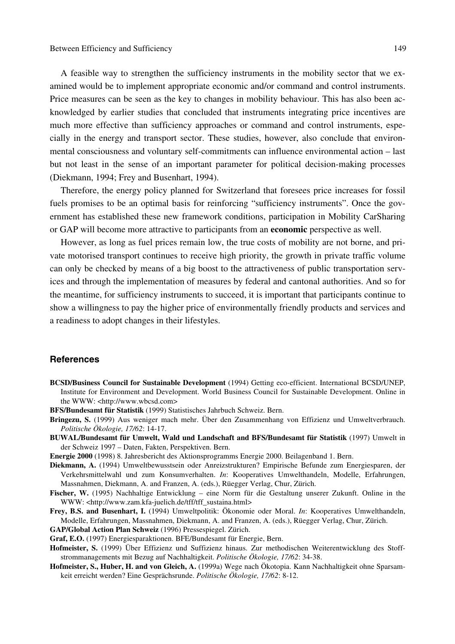A feasible way to strengthen the sufficiency instruments in the mobility sector that we examined would be to implement appropriate economic and/or command and control instruments. Price measures can be seen as the key to changes in mobility behaviour. This has also been acknowledged by earlier studies that concluded that instruments integrating price incentives are much more effective than sufficiency approaches or command and control instruments, especially in the energy and transport sector. These studies, however, also conclude that environmental consciousness and voluntary self-commitments can influence environmental action – last but not least in the sense of an important parameter for political decision-making processes (Diekmann, 1994; Frey and Busenhart, 1994).

Therefore, the energy policy planned for Switzerland that foresees price increases for fossil fuels promises to be an optimal basis for reinforcing "sufficiency instruments". Once the government has established these new framework conditions, participation in Mobility CarSharing or GAP will become more attractive to participants from an **economic** perspective as well.

However, as long as fuel prices remain low, the true costs of mobility are not borne, and private motorised transport continues to receive high priority, the growth in private traffic volume can only be checked by means of a big boost to the attractiveness of public transportation services and through the implementation of measures by federal and cantonal authorities. And so for the meantime, for sufficiency instruments to succeed, it is important that participants continue to show a willingness to pay the higher price of environmentally friendly products and services and a readiness to adopt changes in their lifestyles.

#### **References**

- **BCSD/Business Council for Sustainable Development** (1994) Getting eco-efficient. International BCSD/UNEP, Institute for Environment and Development. World Business Council for Sustainable Development. Online in the WWW: <http://www.wbcsd.com>
- **BFS/Bundesamt für Statistik** (1999) Statistisches Jahrbuch Schweiz. Bern.
- **Bringezu, S.** (1999) Aus weniger mach mehr. Über den Zusammenhang von Effizienz und Umweltverbrauch. *Politische Ökologie, 17/62*: 14-17.
- **BUWAL/Bundesamt für Umwelt, Wald und Landschaft and BFS/Bundesamt für Statistik** (1997) Umwelt in der Schweiz 1997 – Daten, Fakten, Perspektiven. Bern.
- **Energie 2000** (1998) 8. Jahresbericht des Aktionsprogramms Energie 2000. Beilagenband 1. Bern.
- **Diekmann, A.** (1994) Umweltbewusstsein oder Anreizstrukturen? Empirische Befunde zum Energiesparen, der Verkehrsmittelwahl und zum Konsumverhalten. *In*: Kooperatives Umwelthandeln, Modelle, Erfahrungen, Massnahmen, Diekmann, A. and Franzen, A. (eds.), Rüegger Verlag, Chur, Zürich.
- **Fischer, W.** (1995) Nachhaltige Entwicklung eine Norm für die Gestaltung unserer Zukunft. Online in the WWW: <http://www.zam.kfa-juelich.de/tff/tff\_sustaina.html>
- **Frey, B.S. and Busenhart, I.** (1994) Umweltpolitik: Ökonomie oder Moral. *In*: Kooperatives Umwelthandeln, Modelle, Erfahrungen, Massnahmen, Diekmann, A. and Franzen, A. (eds.), Rüegger Verlag, Chur, Zürich.
- **GAP/Global Action Plan Schweiz** (1996) Pressespiegel. Zürich.
- **Graf, E.O.** (1997) Energiesparaktionen. BFE/Bundesamt für Energie, Bern.
- **Hofmeister, S.** (1999) Über Effizienz und Suffizienz hinaus. Zur methodischen Weiterentwicklung des Stoffstrommanagements mit Bezug auf Nachhaltigkeit. *Politische Ökologie, 17/62*: 34-38.
- **Hofmeister, S., Huber, H. and von Gleich, A.** (1999a) Wege nach Ökotopia. Kann Nachhaltigkeit ohne Sparsamkeit erreicht werden? Eine Gesprächsrunde. *Politische Ökologie, 17/62*: 8-12.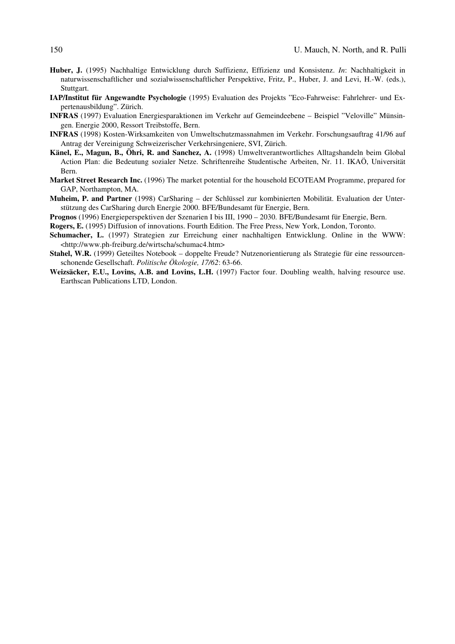- **Huber, J.** (1995) Nachhaltige Entwicklung durch Suffizienz, Effizienz und Konsistenz. *In*: Nachhaltigkeit in naturwissenschaftlicher und sozialwissenschaftlicher Perspektive, Fritz, P., Huber, J. and Levi, H.-W. (eds.), Stuttgart.
- **IAP/Institut für Angewandte Psychologie** (1995) Evaluation des Projekts "Eco-Fahrweise: Fahrlehrer- und Expertenausbildung". Zürich.
- **INFRAS** (1997) Evaluation Energiesparaktionen im Verkehr auf Gemeindeebene Beispiel "Veloville" Münsingen. Energie 2000, Ressort Treibstoffe, Bern.
- **INFRAS** (1998) Kosten-Wirksamkeiten von Umweltschutzmassnahmen im Verkehr. Forschungsauftrag 41/96 auf Antrag der Vereinigung Schweizerischer Verkehrsingeniere, SVI, Zürich.
- **Känel, E., Magun, B., Öhri, R. and Sanchez, A.** (1998) Umweltverantwortliches Alltagshandeln beim Global Action Plan: die Bedeutung sozialer Netze. Schriftenreihe Studentische Arbeiten, Nr. 11. IKAÖ, Universität Bern.
- **Market Street Research Inc.** (1996) The market potential for the household ECOTEAM Programme, prepared for GAP, Northampton, MA.
- **Muheim, P. and Partner** (1998) CarSharing der Schlüssel zur kombinierten Mobilität. Evaluation der Unterstützung des CarSharing durch Energie 2000. BFE/Bundesamt für Energie, Bern.
- **Prognos** (1996) Energieperspektiven der Szenarien I bis III, 1990 2030. BFE/Bundesamt für Energie, Bern.
- **Rogers, E.** (1995) Diffusion of innovations. Fourth Edition. The Free Press, New York, London, Toronto.
- **Schumacher, L.** (1997) Strategien zur Erreichung einer nachhaltigen Entwicklung. Online in the WWW: <http://www.ph-freiburg.de/wirtscha/schumac4.htm>
- **Stahel, W.R.** (1999) Geteiltes Notebook doppelte Freude? Nutzenorientierung als Strategie für eine ressourcenschonende Gesellschaft. *Politische Ökologie, 17/62*: 63-66.
- **Weizsäcker, E.U., Lovins, A.B. and Lovins, L.H.** (1997) Factor four. Doubling wealth, halving resource use. Earthscan Publications LTD, London.